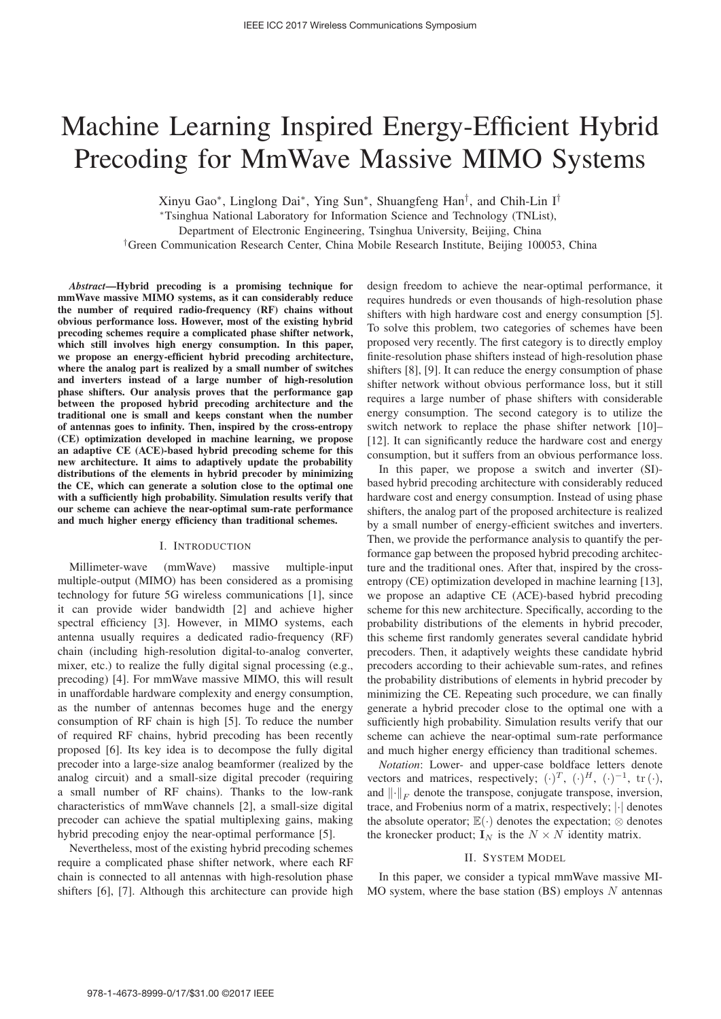# Machine Learning Inspired Energy-Efficient Hybrid Precoding for MmWave Massive MIMO Systems

Xinyu Gao∗, Linglong Dai∗, Ying Sun∗, Shuangfeng Han†, and Chih-Lin I†

<sup>∗</sup>Tsinghua National Laboratory for Information Science and Technology (TNList),

Department of Electronic Engineering, Tsinghua University, Beijing, China

†Green Communication Research Center, China Mobile Research Institute, Beijing 100053, China

*Abstract*—Hybrid precoding is a promising technique for mmWave massive MIMO systems, as it can considerably reduce the number of required radio-frequency (RF) chains without obvious performance loss. However, most of the existing hybrid precoding schemes require a complicated phase shifter network, which still involves high energy consumption. In this paper, we propose an energy-efficient hybrid precoding architecture, where the analog part is realized by a small number of switches and inverters instead of a large number of high-resolution phase shifters. Our analysis proves that the performance gap between the proposed hybrid precoding architecture and the traditional one is small and keeps constant when the number of antennas goes to infinity. Then, inspired by the cross-entropy (CE) optimization developed in machine learning, we propose an adaptive CE (ACE)-based hybrid precoding scheme for this new architecture. It aims to adaptively update the probability distributions of the elements in hybrid precoder by minimizing the CE, which can generate a solution close to the optimal one with a sufficiently high probability. Simulation results verify that our scheme can achieve the near-optimal sum-rate performance and much higher energy efficiency than traditional schemes.

## I. INTRODUCTION

Millimeter-wave (mmWave) massive multiple-input multiple-output (MIMO) has been considered as a promising technology for future 5G wireless communications [1], since it can provide wider bandwidth [2] and achieve higher spectral efficiency [3]. However, in MIMO systems, each antenna usually requires a dedicated radio-frequency (RF) chain (including high-resolution digital-to-analog converter, mixer, etc.) to realize the fully digital signal processing (e.g., precoding) [4]. For mmWave massive MIMO, this will result in unaffordable hardware complexity and energy consumption, as the number of antennas becomes huge and the energy consumption of RF chain is high [5]. To reduce the number of required RF chains, hybrid precoding has been recently proposed [6]. Its key idea is to decompose the fully digital precoder into a large-size analog beamformer (realized by the analog circuit) and a small-size digital precoder (requiring a small number of RF chains). Thanks to the low-rank characteristics of mmWave channels [2], a small-size digital precoder can achieve the spatial multiplexing gains, making hybrid precoding enjoy the near-optimal performance [5].

Nevertheless, most of the existing hybrid precoding schemes require a complicated phase shifter network, where each RF chain is connected to all antennas with high-resolution phase shifters [6], [7]. Although this architecture can provide high

design freedom to achieve the near-optimal performance, it requires hundreds or even thousands of high-resolution phase shifters with high hardware cost and energy consumption [5]. To solve this problem, two categories of schemes have been proposed very recently. The first category is to directly employ finite-resolution phase shifters instead of high-resolution phase shifters [8], [9]. It can reduce the energy consumption of phase shifter network without obvious performance loss, but it still requires a large number of phase shifters with considerable energy consumption. The second category is to utilize the switch network to replace the phase shifter network [10]– [12]. It can significantly reduce the hardware cost and energy consumption, but it suffers from an obvious performance loss.

In this paper, we propose a switch and inverter (SI) based hybrid precoding architecture with considerably reduced hardware cost and energy consumption. Instead of using phase shifters, the analog part of the proposed architecture is realized by a small number of energy-efficient switches and inverters. Then, we provide the performance analysis to quantify the performance gap between the proposed hybrid precoding architecture and the traditional ones. After that, inspired by the crossentropy (CE) optimization developed in machine learning [13], we propose an adaptive CE (ACE)-based hybrid precoding scheme for this new architecture. Specifically, according to the probability distributions of the elements in hybrid precoder, this scheme first randomly generates several candidate hybrid precoders. Then, it adaptively weights these candidate hybrid precoders according to their achievable sum-rates, and refines the probability distributions of elements in hybrid precoder by minimizing the CE. Repeating such procedure, we can finally generate a hybrid precoder close to the optimal one with a sufficiently high probability. Simulation results verify that our scheme can achieve the near-optimal sum-rate performance and much higher energy efficiency than traditional schemes.

*Notation*: Lower- and upper-case boldface letters denote vectors and matrices, respectively;  $(\cdot)^T$ ,  $(\cdot)^H$ ,  $(\cdot)^{-1}$ , tr  $(\cdot)$ , and  $\left\| \cdot \right\|_F$  denote the transpose, conjugate transpose, inversion, trace, and Frobenius norm of a matrix, respectively; |·| denotes the absolute operator;  $\mathbb{E}(\cdot)$  denotes the expectation;  $\otimes$  denotes the kronecker product;  $\mathbf{I}_N$  is the  $N \times N$  identity matrix.

## II. SYSTEM MODEL

In this paper, we consider a typical mmWave massive MI-MO system, where the base station  $(BS)$  employs N antennas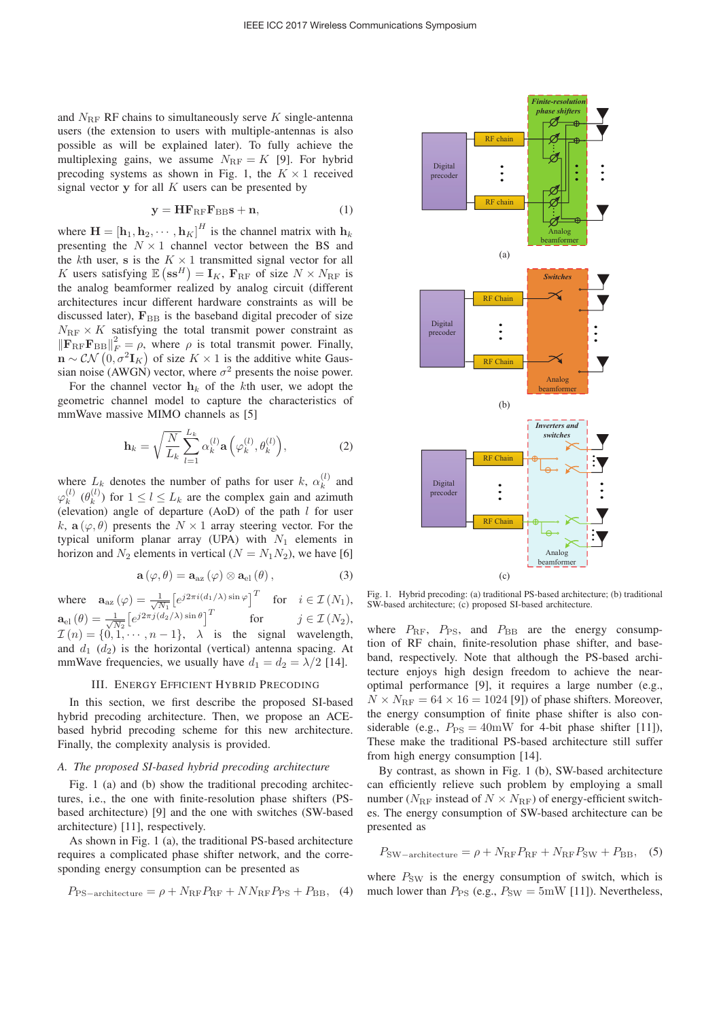and  $N_{\text{RF}}$  RF chains to simultaneously serve K single-antenna users (the extension to users with multiple-antennas is also possible as will be explained later). To fully achieve the multiplexing gains, we assume  $N_{\text{RF}} = K$  [9]. For hybrid precoding systems as shown in Fig. 1, the  $K \times 1$  received signal vector  $y$  for all  $K$  users can be presented by

$$
y = HF_{RF}F_{BB} s + n,
$$
 (1)

where  $\mathbf{H} = [\mathbf{h}_1, \mathbf{h}_2, \cdots, \mathbf{h}_K]^H$  is the channel matrix with  $\mathbf{h}_k$ <br>presenting the  $N \times 1$  channel vector between the BS and presenting the  $N \times 1$  channel vector between the BS and the kth user, **s** is the  $K \times 1$  transmitted signal vector for all K users satisfying  $\mathbb{E} (\mathbf{s}\mathbf{s}^H) = \mathbf{I}_K$ ,  $\mathbf{F}_{\text{RF}}$  of size  $N \times N_{\text{RF}}$  is<br>the analog beamformer realized by analog circuit (different the analog beamformer realized by analog circuit (different architectures incur different hardware constraints as will be discussed later),  $\mathbf{F}_{\text{BB}}$  is the baseband digital precoder of size  $N_{\text{RF}} \times K$  satisfying the total transmit power constraint as  $\|\mathbf{F}_{\text{RF}}\mathbf{F}_{\text{BB}}\|_{F}^{2} = \rho$ , where  $\rho$  is total transmit power. Finally,<br>  $\mathbf{P}_{\text{R}}\circ\mathcal{CN}(0, \sigma^{2}\mathbf{I}_{\text{rel}})$  of size  $K \times 1$  is the additive white Gaus- $\hat{\mathbf{n}} \sim \mathcal{CN}\left(\mathbf{0}, \sigma^2 \mathbf{I}_K\right)$  of size  $K \times 1$  is the additive white Gaus-<br>sign poise (AWGN) vector, where  $\sigma^2$  presents the poise power sian noise (AWGN) vector, where  $\sigma^2$  presents the noise power.

For the channel vector  $h_k$  of the kth user, we adopt the geometric channel model to capture the characteristics of mmWave massive MIMO channels as [5]

$$
\mathbf{h}_k = \sqrt{\frac{N}{L_k}} \sum_{l=1}^{L_k} \alpha_k^{(l)} \mathbf{a}\left(\varphi_k^{(l)}, \theta_k^{(l)}\right),\tag{2}
$$

where  $L_k$  denotes the number of paths for user k,  $\alpha_k^{(l)}$  and  $\varphi_k^{(l)}$  ( $\theta_k^{(l)}$ ) for  $1 \le l \le L_k$  are the complex gain and azimuth (elevation) angle of departure (AoD) of the path *l* for user (elevation) angle of departure  $(AoD)$  of the path  $l$  for user k,  $\mathbf{a}(\varphi,\theta)$  presents the  $N \times 1$  array steering vector. For the typical uniform planar array (UPA) with  $N_1$  elements in horizon and  $N_2$  elements in vertical ( $N = N_1N_2$ ), we have [6]

$$
\mathbf{a}(\varphi,\theta) = \mathbf{a}_{\text{az}}(\varphi) \otimes \mathbf{a}_{\text{el}}(\theta), \qquad (3)
$$

where  $\mathbf{a}_{\text{az}}(\varphi) = \frac{1}{\sqrt{N_1}} \left[ e^{j2\pi i (d_1/\lambda) \sin \varphi} \right]^T$  for  $i \in \mathcal{I}(N_1)$ ,  $\mathbf{a}_{el}(\theta) = \frac{1}{\sqrt{N_2}} \left[ e^{j2\pi j(d_2/\lambda) \sin \theta} \right]^T$  for  $j \in \mathcal{I}(N_2)$ ,<br>  $\mathcal{I}(n) = \left[ \begin{matrix} 0 & 1 \end{matrix} \right]$  is the signal wavelength  $\mathcal{I}(n) = \{0, 1, \dots, n-1\}, \quad \lambda$  is the signal wavelength,<br>and  $d_1$ ,  $(d_2)$  is the horizontal (vertical) antenna spacing. At and  $d_1$  ( $d_2$ ) is the horizontal (vertical) antenna spacing. At mmWave frequencies, we usually have  $d_1 = d_2 = \lambda/2$  [14].

## III. ENERGY EFFICIENT HYBRID PRECODING

In this section, we first describe the proposed SI-based hybrid precoding architecture. Then, we propose an ACEbased hybrid precoding scheme for this new architecture. Finally, the complexity analysis is provided.

## *A. The proposed SI-based hybrid precoding architecture*

Fig. 1 (a) and (b) show the traditional precoding architectures, i.e., the one with finite-resolution phase shifters (PSbased architecture) [9] and the one with switches (SW-based architecture) [11], respectively.

As shown in Fig. 1 (a), the traditional PS-based architecture requires a complicated phase shifter network, and the corresponding energy consumption can be presented as

$$
P_{\rm PS-architecture} = \rho + N_{\rm RF} P_{\rm RF} + NN_{\rm RF} P_{\rm PS} + P_{\rm BB}, \tag{4}
$$



RF chain

 $F$ *inite-resolut phase shifters*

Ø

Digital precoder

RF chain

Fig. 1. Hybrid precoding: (a) traditional PS-based architecture; (b) traditional SW-based architecture; (c) proposed SI-based architecture.

where  $P_{\text{RF}}$ ,  $P_{\text{PS}}$ , and  $P_{\text{BB}}$  are the energy consumption of RF chain, finite-resolution phase shifter, and baseband, respectively. Note that although the PS-based architecture enjoys high design freedom to achieve the nearoptimal performance [9], it requires a large number (e.g.,  $N \times N_{\text{RF}} = 64 \times 16 = 1024$  [9]) of phase shifters. Moreover, the energy consumption of finite phase shifter is also considerable (e.g.,  $P_{PS} = 40$ mW for 4-bit phase shifter [11]), These make the traditional PS-based architecture still suffer from high energy consumption [14].

By contrast, as shown in Fig. 1 (b), SW-based architecture can efficiently relieve such problem by employing a small number ( $N_{\text{RF}}$  instead of  $N \times N_{\text{RF}}$ ) of energy-efficient switches. The energy consumption of SW-based architecture can be presented as

$$
P_{\text{SW}-\text{architecture}} = \rho + N_{\text{RF}} P_{\text{RF}} + N_{\text{RF}} P_{\text{SW}} + P_{\text{BB}}, \quad (5)
$$

where  $P_{SW}$  is the energy consumption of switch, which is much lower than  $P_{PS}$  (e.g.,  $P_{SW} = 5 \text{mW}$  [11]). Nevertheless,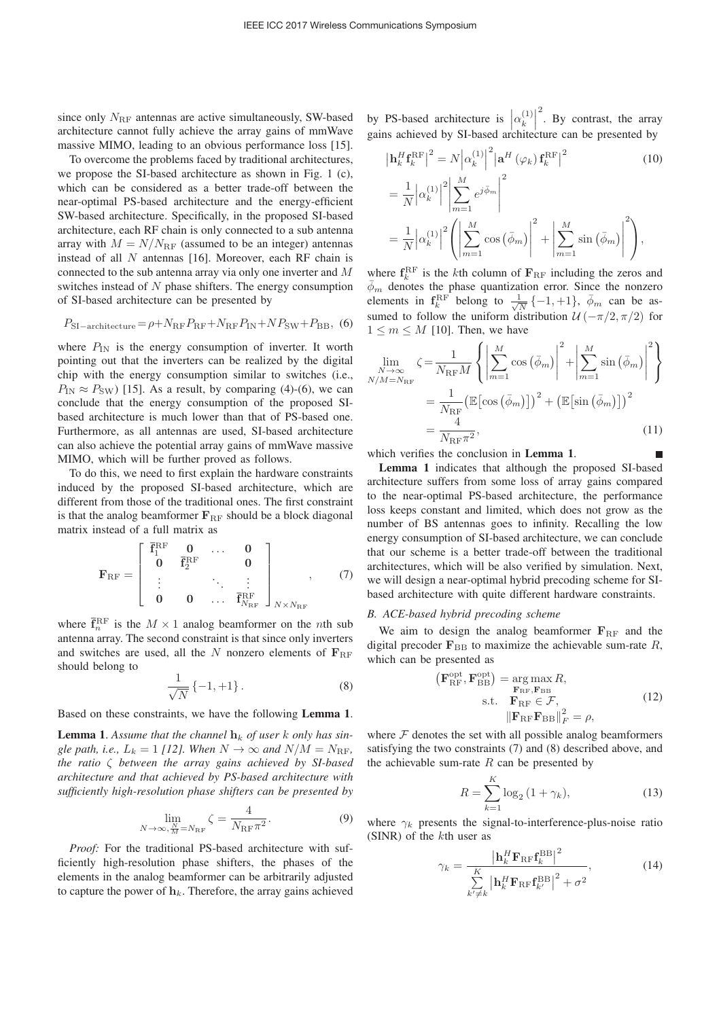since only  $N_{\text{RF}}$  antennas are active simultaneously, SW-based architecture cannot fully achieve the array gains of mmWave massive MIMO, leading to an obvious performance loss [15].

To overcome the problems faced by traditional architectures, we propose the SI-based architecture as shown in Fig. 1 (c), which can be considered as a better trade-off between the near-optimal PS-based architecture and the energy-efficient SW-based architecture. Specifically, in the proposed SI-based architecture, each RF chain is only connected to a sub antenna array with  $M = N/N_{\text{RF}}$  (assumed to be an integer) antennas instead of all  $N$  antennas [16]. Moreover, each RF chain is connected to the sub antenna array via only one inverter and M switches instead of N phase shifters. The energy consumption of SI-based architecture can be presented by

$$
P_{\rm SI-architecture} = \rho + N_{\rm RF} P_{\rm RF} + N_{\rm RF} P_{\rm IN} + N P_{\rm SW} + P_{\rm BB}, \tag{6}
$$

where  $P_{IN}$  is the energy consumption of inverter. It worth pointing out that the inverters can be realized by the digital chip with the energy consumption similar to switches (i.e.,  $P_{\text{IN}} \approx P_{\text{SW}}$  [15]. As a result, by comparing (4)-(6), we can conclude that the energy consumption of the proposed SIbased architecture is much lower than that of PS-based one. Furthermore, as all antennas are used, SI-based architecture can also achieve the potential array gains of mmWave massive MIMO, which will be further proved as follows.

To do this, we need to first explain the hardware constraints induced by the proposed SI-based architecture, which are different from those of the traditional ones. The first constraint is that the analog beamformer  $\mathbf{F}_{\text{RF}}$  should be a block diagonal matrix instead of a full matrix as

$$
\mathbf{F}_{\rm RF} = \left[ \begin{array}{cccc} \bar{\mathbf{f}}_1^{\rm RF} & \mathbf{0} & \dots & \mathbf{0} \\ \mathbf{0} & \bar{\mathbf{f}}_2^{\rm RF} & & \mathbf{0} \\ \vdots & & \ddots & \vdots \\ \mathbf{0} & \mathbf{0} & \dots & \bar{\mathbf{f}}_{N_{\rm RF}}^{\rm RF} \end{array} \right]_{N \times N_{\rm RF}} , \qquad (7)
$$

where  $\vec{F}_{n}^{\text{RF}}$  is the  $M \times 1$  analog beamformer on the *n*th subsetement of  $\vec{F}_{n}^{\text{RF}}$  is the second constraint is that since only inverters antenna array. The second constraint is that since only inverters and switches are used, all the N nonzero elements of  $F_{\text{RF}}$ should belong to

$$
\frac{1}{\sqrt{N}}\{-1,+1\}.
$$
 (8)

Based on these constraints, we have the following Lemma 1.

**Lemma 1.** Assume that the channel  $\mathbf{h}_k$  of user k only has sin*gle path, i.e.,*  $L_k = 1$  *[12]. When*  $N \rightarrow \infty$  *and*  $N/M = N_{\text{RF}}$ *, the ratio* ζ *between the array gains achieved by SI-based architecture and that achieved by PS-based architecture with sufficiently high-resolution phase shifters can be presented by*

$$
\lim_{N \to \infty, \frac{N}{M} = N_{\text{RF}}} \zeta = \frac{4}{N_{\text{RF}} \pi^2}.
$$
\n(9)

*Proof:* For the traditional PS-based architecture with sufficiently high-resolution phase shifters, the phases of the elements in the analog beamformer can be arbitrarily adjusted to capture the power of  $h_k$ . Therefore, the array gains achieved by PS-based architecture is  $\left|\alpha_k^{(1)}\right|$ gains achieved by SI-based architecture can be presented by 2 . By contrast, the array

$$
\left| \mathbf{h}_{k}^{H} \mathbf{f}_{k}^{\text{RF}} \right|^{2} = N \left| \alpha_{k}^{(1)} \right|^{2} \left| \mathbf{a}^{H} \left( \varphi_{k} \right) \mathbf{f}_{k}^{\text{RF}} \right|^{2}
$$
\n
$$
= \frac{1}{N} \left| \alpha_{k}^{(1)} \right|^{2} \left| \sum_{m=1}^{M} e^{j \bar{\phi}_{m}} \right|^{2}
$$
\n
$$
= \frac{1}{N} \left| \alpha_{k}^{(1)} \right|^{2} \left( \left| \sum_{m=1}^{M} \cos \left( \bar{\phi}_{m} \right) \right|^{2} + \left| \sum_{m=1}^{M} \sin \left( \bar{\phi}_{m} \right) \right|^{2} \right),
$$
\n(10)

where  $f_k^{\text{RF}}$  is the *k*th column of  $\mathbf{F}_{\text{RF}}$  including the zeros and  $\bar{\phi}_m$  denotes the phase quantization error. Since the nonzero elements in  $\mathbf{f}_{kk}^{RF}$  belong to  $\frac{1}{\sqrt{N}}\{-1,+1\}$ ,  $\bar{\phi}_m$  can be as-<br>sumed to follow the uniform distribution  $\mathcal{U}(\pi/2,\pi/2)$  for sumed to follow the uniform distribution  $\mathcal{U}(-\pi/2, \pi/2)$  for  $1 \leq m \leq M$  [10]. Then, we have

$$
\lim_{N \to \infty} \zeta = \frac{1}{N_{\text{RF}} M} \left\{ \left| \sum_{m=1}^{M} \cos \left( \bar{\phi}_m \right) \right|^2 + \left| \sum_{m=1}^{M} \sin \left( \bar{\phi}_m \right) \right|^2 \right\}
$$
\n
$$
= \frac{1}{N_{\text{RF}}} \left( \mathbb{E} \left[ \cos \left( \bar{\phi}_m \right) \right] \right)^2 + \left( \mathbb{E} \left[ \sin \left( \bar{\phi}_m \right) \right] \right)^2
$$
\n
$$
= \frac{4}{N_{\text{RF}} \pi^2},\tag{11}
$$

which verifies the conclusion in Lemma 1.

Lemma 1 indicates that although the proposed SI-based architecture suffers from some loss of array gains compared to the near-optimal PS-based architecture, the performance loss keeps constant and limited, which does not grow as the number of BS antennas goes to infinity. Recalling the low energy consumption of SI-based architecture, we can conclude that our scheme is a better trade-off between the traditional architectures, which will be also verified by simulation. Next, we will design a near-optimal hybrid precoding scheme for SIbased architecture with quite different hardware constraints.

# *B. ACE-based hybrid precoding scheme*

We aim to design the analog beamformer  $\mathbf{F}_{\text{RF}}$  and the digital precoder  $\mathbf{F}_{\text{BB}}$  to maximize the achievable sum-rate  $R$ , which can be presented as

$$
\left(\mathbf{F}_{\text{RF}}^{\text{opt}}, \mathbf{F}_{\text{BB}}^{\text{opt}}\right) = \underset{\mathbf{F}_{\text{RF}}, \mathbf{F}_{\text{BB}}}{\arg \max R},
$$
\n
$$
\text{s.t.} \quad \mathbf{F}_{\text{RF}} \in \mathcal{F},
$$
\n
$$
\|\mathbf{F}_{\text{RF}} \mathbf{F}_{\text{BB}}\|_{F}^{2} = \rho,
$$
\n
$$
\text{or} \quad \mathbf{F}_{\text{RF}} \mathbf{F}_{\text{BB}}\|_{F}^{2} = \rho,
$$
\n
$$
\text{or} \quad \mathbf{F}_{\text{RF}} \mathbf{F}_{\text{BB}}\|_{F}^{2} = \rho,
$$
\n
$$
\text{or} \quad \mathbf{F}_{\text{RF}} \mathbf{F}_{\text{BB}}\|_{F}^{2} = \rho,
$$
\n
$$
\text{or} \quad \mathbf{F}_{\text{RF}} \mathbf{F}_{\text{BB}}\|_{F}^{2} = \rho,
$$
\n
$$
\text{or} \quad \mathbf{F}_{\text{RF}} \mathbf{F}_{\text{BB}}\|_{F}^{2} = \rho,
$$
\n
$$
\text{or} \quad \mathbf{F}_{\text{RF}} \mathbf{F}_{\text{BB}}\|_{F}^{2} = \rho,
$$
\n
$$
\text{or} \quad \mathbf{F}_{\text{RF}} \mathbf{F}_{\text{BB}}\|_{F}^{2} = \rho,
$$
\n
$$
\text{or} \quad \mathbf{F}_{\text{RF}} \mathbf{F}_{\text{BB}}\|_{F}^{2} = \rho,
$$
\n
$$
\text{or} \quad \mathbf{F}_{\text{RF}} \mathbf{F}_{\text{BB}}\|_{F}^{2} = \rho,
$$
\n
$$
\text{or} \quad \mathbf{F}_{\text{RF}} \mathbf{F}_{\text{BB}}\|_{F}^{2} = \rho,
$$
\n
$$
\text{or} \quad \mathbf{F}_{\text{RF}} \mathbf{F}_{\text{BB}}\|_{F}^{2} = \rho,
$$
\n
$$
\text{or} \quad \mathbf{F}_{\text{RF}} \mathbf{F}_{\text{BB}}\|_{F}^{2} = \rho,
$$
\n
$$
\text{or} \quad \mathbf{F
$$

where  $F$  denotes the set with all possible analog beamformers satisfying the two constraints (7) and (8) described above, and the achievable sum-rate  $R$  can be presented by

$$
R = \sum_{k=1}^{K} \log_2 \left( 1 + \gamma_k \right),\tag{13}
$$

where  $\gamma_k$  presents the signal-to-interference-plus-noise ratio (SINR) of the kth user as

$$
\gamma_k = \frac{\left|\mathbf{h}_k^H \mathbf{F}_{\rm RF} \mathbf{f}_k^{\rm BB}\right|^2}{\sum\limits_{k' \neq k} \left|\mathbf{h}_k^H \mathbf{F}_{\rm RF} \mathbf{f}_{k'}^{\rm BB}\right|^2 + \sigma^2},\tag{14}
$$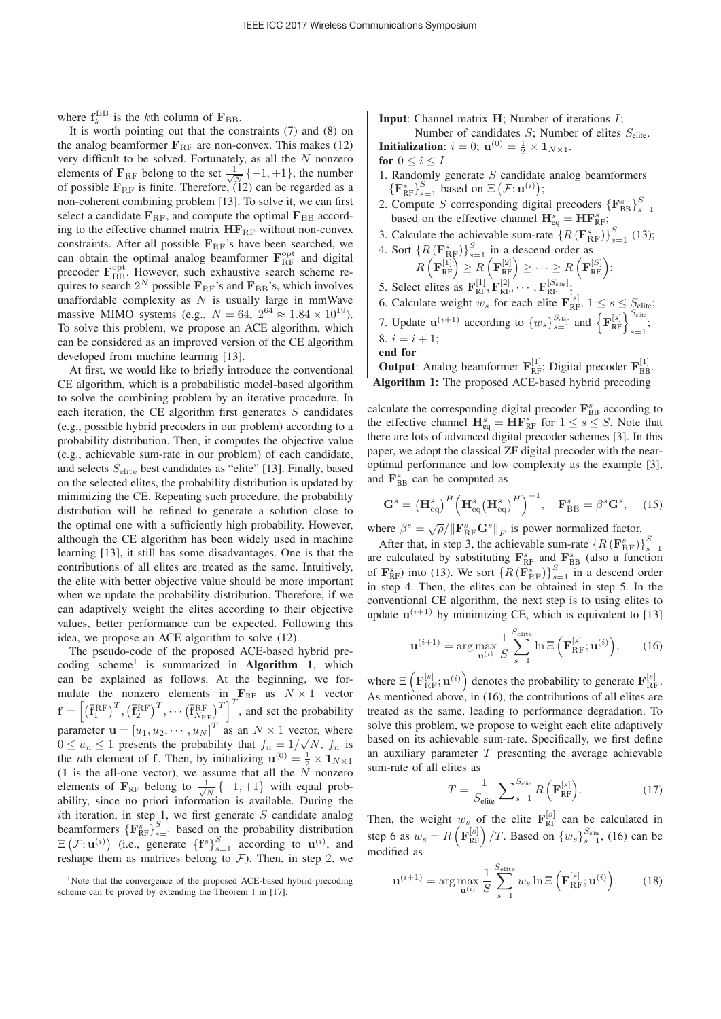where  $f_k^{BB}$  is the *k*th column of  $\mathbf{F}_{BB}$ .

It is worth pointing out that the constraints (7) and (8) on the analog beamformer  $\mathbf{F}_{RF}$  are non-convex. This makes (12) very difficult to be solved. Fortunately, as all the  $N$  nonzero elements of  $\mathbf{F}_{\text{RF}}$  belong to the set  $\frac{1}{\sqrt{N}}\{-1, +1\}$ , the number<br>of possible  $\mathbf{F}_{\text{F}}$  is finite. Therefore (12) can be regarded as a of possible  $\mathbf{F}_{\text{RF}}$  is finite. Therefore, (12) can be regarded as a non-coherent combining problem [13]. To solve it, we can first select a candidate  $\mathbf{F}_{\text{RF}}$ , and compute the optimal  $\mathbf{F}_{\text{BB}}$  according to the effective channel matrix  $HF_{RF}$  without non-convex constraints. After all possible  $\mathbf{F}_{\text{RF}}$ 's have been searched, we can obtain the optimal analog beamformer  $\mathbf{F}_{\text{RF}}^{\text{opt}}$  and digital precoder  $\mathbf{F}_{\text{BB}}^{\text{opt}}$ . However, such exhaustive search scheme requires to search  $2^N$  possible  $\mathbf{F}_{\text{RF}}$ 's and  $\mathbf{F}_{\text{BB}}$ 's, which involves unaffordable complexity as  $N$  is usually large in mmWave massive MIMO systems (e.g.,  $N = 64$ ,  $2^{64} \approx 1.84 \times 10^{19}$ ). To solve this problem, we propose an ACE algorithm, which can be considered as an improved version of the CE algorithm developed from machine learning [13].

At first, we would like to briefly introduce the conventional CE algorithm, which is a probabilistic model-based algorithm to solve the combining problem by an iterative procedure. In each iteration, the CE algorithm first generates  $S$  candidates (e.g., possible hybrid precoders in our problem) according to a probability distribution. Then, it computes the objective value (e.g., achievable sum-rate in our problem) of each candidate, and selects  $S_{\text{elite}}$  best candidates as "elite" [13]. Finally, based on the selected elites, the probability distribution is updated by minimizing the CE. Repeating such procedure, the probability distribution will be refined to generate a solution close to the optimal one with a sufficiently high probability. However, although the CE algorithm has been widely used in machine learning [13], it still has some disadvantages. One is that the contributions of all elites are treated as the same. Intuitively, the elite with better objective value should be more important when we update the probability distribution. Therefore, if we can adaptively weight the elites according to their objective values, better performance can be expected. Following this idea, we propose an ACE algorithm to solve (12).

The pseudo-code of the proposed ACE-based hybrid precoding scheme<sup>1</sup> is summarized in **Algorithm 1**, which can be explained as follows. At the beginning, we formulate the nonzero elements in  $\mathbf{F}_{\text{RF}}$  as  $N \times 1$  vector  $f = \left[ (\overline{\mathbf{f}}_1^{\text{RF}})^T, (\overline{\mathbf{f}}_2^{\text{RF}})^T, \cdots (\overline{\mathbf{f}}_{N_{\text{RF}}}^{\text{RF}})^T \right]^T$ , and set the probability parameter  $\mathbf{u} = [u_1, u_2, \cdots, u_N]^T$  as an  $N \times 1$  vector, where  $0 \le u_1 \le 1$  presents the probability that  $f_1 = 1/\sqrt{N}$  f is becomes the probability that  $f_n = 1/\sqrt{N}$ ,  $f_n$  is<br>
the *n*th element of f. Then, by initializing  $\mathbf{u}^{(0)} = \frac{1}{2} \times \mathbf{1}_{N \times 1}$ the *n*th element of **f**. Then, by initializing  $\mathbf{u}^{(0)} = \frac{1}{2} \times \mathbf{1}_{N \times 1}$ <br>(1 is the all-one vector) we assume that all the N nonzero (1 is the all-one vector), we assume that all the  $\tilde{N}$  nonzero elements of  $\mathbf{F}_{RF}$  belong to  $\frac{1}{\sqrt{N}}\{-1,+1\}$  with equal prob-<br>ability since no priori information is available. During the ability, since no priori information is available. During the ith iteration, in step 1, we first generate  $S$  candidate analog beamformers  ${F_{RF}^s}_{s=1}^S$  based on the probability distribution  $\Xi(\mathcal{F}; \mathbf{u}^{(i)})$  (i.e., generate  $\{\mathbf{f}^s\}_{s=1}^S$  according to  $\mathbf{u}^{(i)}$ , and reshape them as matrices belong to  $\mathcal{F}$ ). Then in step 2, we reshape them as matrices belong to  $\mathcal F$ ). Then, in step 2, we

**Input**: Channel matrix **H**; Number of iterations *I*;

Number of candidates  $S$ ; Number of elites  $S_{\text{elite}}$ . **Initialization:**  $i = 0$ ;  $\mathbf{u}^{(0)} = \frac{1}{2} \times \mathbf{1}_{N \times 1}$ .

for  $0 \leq i \leq I$ 

- 1. Randomly generate  $S$  candidate analog beamformers  $\left\{ \mathbf{F}_{\text{RF}}^{s} \right\}_{s=1}^{S}$  based on  $\Xi\left(\mathcal{F}; \mathbf{u}^{(i)}\right);$
- 2. Compute S corresponding digital precoders  ${F_{BB}^s}_{s=1}$ based on the effective channel  $\mathbf{H}_{eq}^{s} = \mathbf{H}\mathbf{F}_{RF}^{s}$ ;
- 3. Calculate the achievable sum-rate  ${R(\mathbf{F}_{\text{RF}}^{s})}\s_{s=1}^{S}$  (13);

4. Sort 
$$
\{R(\mathbf{F}_{RF}^{s})\}_{s=1}^{S}
$$
 in a descend order as  
\n $R\left(\mathbf{F}_{RF}^{[1]}\right) \geq R\left(\mathbf{F}_{RF}^{[2]}\right) \geq \cdots \geq R\left(\mathbf{F}_{RF}^{[S]}\right);$   
\n5. Select elites as  $\mathbf{F}_{RF}^{[1]}, \mathbf{F}_{RF}^{[2]}, \cdots, \mathbf{F}_{RF}^{[S_{elite}]};$ 

- 
- 6. Calculate weight  $w_s$  for each elite  $\mathbf{F}_{\text{RF}}^{[s]}$ ,  $1 \leq s \leq S_{\text{elite}}$ ;
- 7. Update  $\mathbf{u}^{(i+1)}$  according to  $\{w_s\}_{s=1}^{S_{\text{elite}}}$  and  $\{\mathbf{F}_{\text{RF}}^{[s]}\}_{s=1}^{S_{\text{elite}}}$ ; 8.  $i = i + 1$ ;

end for

**Output:** Analog beamformer  $\mathbf{F}_{RF}^{[1]}$ , Digital precoder  $\mathbf{F}_{BB}^{[1]}$ . Algorithm 1: The proposed ACE-based hybrid precoding

calculate the corresponding digital precoder  $\mathbf{F}_{\text{BB}}^{s}$  according to the effective channel  $\mathbf{H}_{eq}^s = \mathbf{H}\mathbf{F}_{RF}^s$  for  $1 \leq s \leq S$ . Note that there are lots of advanced digital precoder schemes [3]. In this there are lots of advanced digital precoder schemes [3]. In this paper, we adopt the classical ZF digital precoder with the nearoptimal performance and low complexity as the example [3], and  $\mathbf{F}_{\text{BB}}^s$  can be computed as

$$
\mathbf{G}^s = \left(\mathbf{H}_{\text{eq}}^s\right)^H \left(\mathbf{H}_{\text{eq}}^s \left(\mathbf{H}_{\text{eq}}^s\right)^H\right)^{-1}, \quad \mathbf{F}_{\text{BB}}^s = \beta^s \mathbf{G}^s, \quad (15)
$$

where  $\beta^s = \sqrt{\rho}/\|\mathbf{F}_{\text{RF}}^s \mathbf{G}^s\|_F$  is power normalized factor.

After that, in step 3, the achievable sum-rate  ${R(\mathbf{F}_{\text{RF}}^s)}$ After that, in step 3, the achievable sum-rate  $\{K(\mathbf{F}_{RF}^s)\}_{s=1}^s$  are calculated by substituting  $\mathbf{F}_{RF}^s$  and  $\mathbf{F}_{BB}^s$  (also a function  $s=1$ of  $\mathbf{F}_{\text{RF}}^{s}$ ) into (13). We sort  $\{R(\mathbf{F}_{\text{RF}}^{s})\}_{s=1}^{S}$  in a descend order<br>in step 4. Then, the elites can be obtained in step 5. In the in step 4. Then, the elites can be obtained in step 5. In the conventional CE algorithm, the next step is to using elites to update  $\mathbf{u}^{(i+1)}$  by minimizing CE, which is equivalent to [13]

$$
\mathbf{u}^{(i+1)} = \arg \max_{\mathbf{u}^{(i)}} \frac{1}{S} \sum_{s=1}^{S_{\text{elite}}} \ln \Xi \left( \mathbf{F}_{\text{RF}}^{[s]}; \mathbf{u}^{(i)} \right), \qquad (16)
$$

where  $\Xi\left(\mathbf{F}_{RF}^{[s]}; \mathbf{u}^{(i)}\right)$  denotes the probability to generate  $\mathbf{F}_{RF}^{[s]}$ . As mentioned above, in (16), the contributions of all elites are treated as the same, leading to performance degradation. To solve this problem, we propose to weight each elite adaptively based on its achievable sum-rate. Specifically, we first define an auxiliary parameter  $T$  presenting the average achievable sum-rate of all elites as

$$
T = \frac{1}{S_{\text{elite}}} \sum_{s=1}^{S_{\text{elite}}} R\left(\mathbf{F}_{\text{RF}}^{[s]}\right). \tag{17}
$$

Then, the weight  $w_s$  of the elite  $\mathbf{F}_{RF}^{[s]}$  can be calculated in step 6 as  $w_s = R\left(\mathbf{F}_{RF}^{[s]}\right)/T$ . Based on  $\{w_s\}_{s=1}^{S_{elite}}$ , (16) can be modified as

$$
\mathbf{u}^{(i+1)} = \arg\max_{\mathbf{u}^{(i)}} \frac{1}{S} \sum_{s=1}^{S_{\text{elite}}} w_s \ln \Xi \left( \mathbf{F}_{\text{RF}}^{[s]}; \mathbf{u}^{(i)} \right). \tag{18}
$$

<sup>&</sup>lt;sup>1</sup>Note that the convergence of the proposed ACE-based hybrid precoding scheme can be proved by extending the Theorem 1 in [17].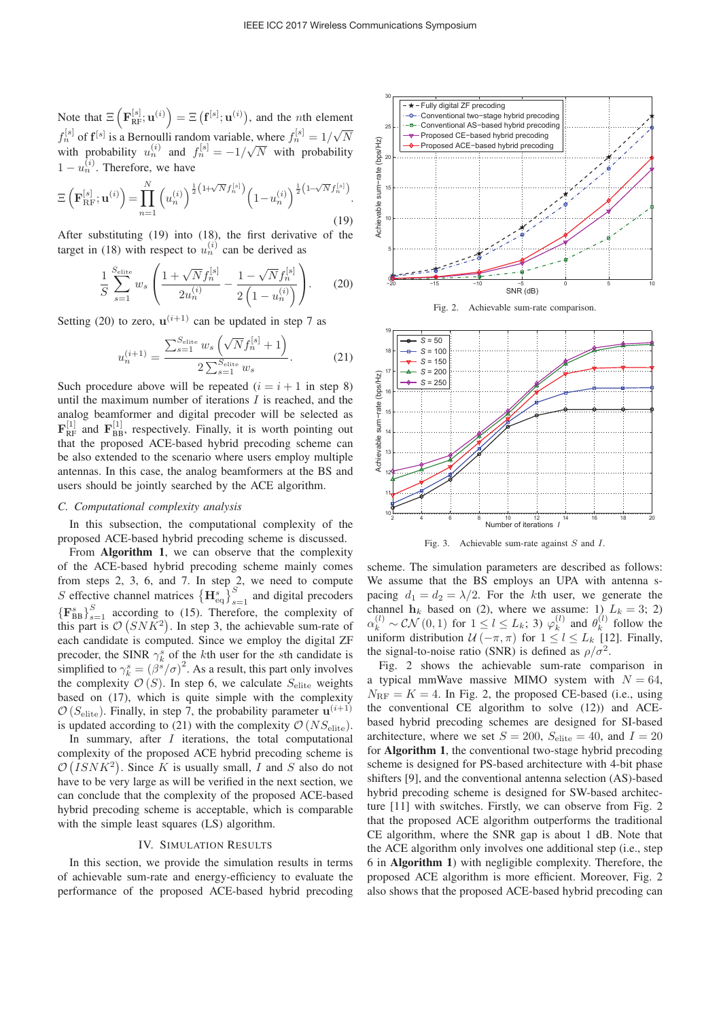Note that  $\Xi\left(\mathbf{F}_{\text{RF}}^{[s]}; \mathbf{u}^{(i)}\right) = \Xi\left(\mathbf{f}^{[s]}; \mathbf{u}^{(i)}\right)$ , and the *n*th element  $f_n^{[s]}$  of  $f^{[s]}$  is a Bernoulli random variable, where  $f_n^{[s]} = 1/\sqrt{N}$ <br>with probability  $g^{(i)}$  and  $f^{[s]} = 1/\sqrt{N}$  with probability with probability  $u_n^{(i)}$  and  $f_n^{[s]} = -1/\sqrt{N}$  with probability  $1 - u_n^{(i)}$ . Therefore, we have

$$
\Xi\left(\mathbf{F}_{\mathrm{RF}}^{[s]};\mathbf{u}^{(i)}\right) = \prod_{n=1}^{N} \left(u_n^{(i)}\right)^{\frac{1}{2}\left(1+\sqrt{N}f_n^{[s]}\right)} \left(1-u_n^{(i)}\right)^{\frac{1}{2}\left(1-\sqrt{N}f_n^{[s]}\right)}.
$$
\n(19)

After substituting (19) into (18), the first derivative of the target in (18) with respect to  $u_n^{(i)}$  can be derived as

$$
\frac{1}{S} \sum_{s=1}^{S_{\text{elite}}} w_s \left( \frac{1 + \sqrt{N} f_n^{[s]}}{2u_n^{(i)}} - \frac{1 - \sqrt{N} f_n^{[s]}}{2\left(1 - u_n^{(i)}\right)} \right). \tag{20}
$$

Setting (20) to zero,  $\mathbf{u}^{(i+1)}$  can be updated in step 7 as

$$
u_n^{(i+1)} = \frac{\sum_{s=1}^{S_{\text{elite}}} w_s \left(\sqrt{N} f_n^{[s]} + 1\right)}{2 \sum_{s=1}^{S_{\text{elite}}} w_s}.
$$
 (21)

Such procedure above will be repeated  $(i = i + 1$  in step 8) until the maximum number of iterations  $I$  is reached, and the analog beamformer and digital precoder will be selected as  $\mathbf{F}_{\text{RF}}^{[1]}$  and  $\mathbf{F}_{\text{BB}}^{[1]}$ , respectively. Finally, it is worth pointing out that the proposed ACE-based hybrid precoding scheme can be also extended to the scenario where users employ multiple antennas. In this case, the analog beamformers at the BS and users should be jointly searched by the ACE algorithm.

## *C. Computational complexity analysis*

In this subsection, the computational complexity of the proposed ACE-based hybrid precoding scheme is discussed.

From Algorithm 1, we can observe that the complexity of the ACE-based hybrid precoding scheme mainly comes from steps 2, 3, 6, and 7. In step 2, we need to compute S effective channel matrices  ${H_{\text{eq}}^s}_{s=1}^S$  and digital precoders  ${ {\{F_{BB}^s}\}}_{s=1}^S$  according to (15). Therefore, the complexity of this part is  $\mathcal{O}(SNK^2)$ . In step 3, the achievable sum-rate of each candidate is computed. Since we employ the digital ZF precoder, the SINR  $\gamma_k^s$  of the kth user for the sth candidate is simplified to  $\gamma_k^s = (\beta^s/\sigma)^2$ . As a result, this part only involves<br>the complexity  $\mathcal{O}(S)$ . In step 6, we calculate  $S_{\text{max}}$  weights the complexity  $\mathcal{O}(S)$ . In step 6, we calculate  $S_{\text{elite}}$  weights based on (17), which is quite simple with the complexity  $\mathcal{O}(S_{\text{elite}})$ . Finally, in step 7, the probability parameter  $\mathbf{u}^{(i+1)}$ is updated according to (21) with the complexity  $\mathcal{O}(NS_{\text{elite}})$ .

In summary, after  $I$  iterations, the total computational complexity of the proposed ACE hybrid precoding scheme is  $\mathcal{O}(ISNK^2)$ . Since K is usually small, I and S also do not have to be very large as will be verified in the next section, we can conclude that the complexity of the proposed ACE-based hybrid precoding scheme is acceptable, which is comparable with the simple least squares (LS) algorithm.

## IV. SIMULATION RESULTS

In this section, we provide the simulation results in terms of achievable sum-rate and energy-efficiency to evaluate the performance of the proposed ACE-based hybrid precoding







Fig. 3. Achievable sum-rate against S and I.

scheme. The simulation parameters are described as follows: We assume that the BS employs an UPA with antenna spacing  $d_1 = d_2 = \lambda/2$ . For the kth user, we generate the channel  $h_k$  based on (2), where we assume: 1)  $L_k = 3$ ; 2)  $\alpha_k^{(l)} \sim \mathcal{CN}(0,1)$  for  $1 \leq l \leq L_k$ ; 3)  $\varphi_k^{(l)}$  and  $\theta_k^{(l)}$  follow the uniform distribution  $\mathcal{U}(-\pi, \pi)$  for  $1 \leq l \leq L_k$  [12]. Finally, the signal-to-noise ratio (SNR) is defined as  $\rho/\sigma^2$ .

Fig. 2 shows the achievable sum-rate comparison in a typical mmWave massive MIMO system with  $N = 64$ ,  $N_{\text{RF}} = K = 4$ . In Fig. 2, the proposed CE-based (i.e., using the conventional CE algorithm to solve (12)) and ACEbased hybrid precoding schemes are designed for SI-based architecture, where we set  $S = 200$ ,  $S_{\text{elite}} = 40$ , and  $I = 20$ for Algorithm 1, the conventional two-stage hybrid precoding scheme is designed for PS-based architecture with 4-bit phase shifters [9], and the conventional antenna selection (AS)-based hybrid precoding scheme is designed for SW-based architecture [11] with switches. Firstly, we can observe from Fig. 2 that the proposed ACE algorithm outperforms the traditional CE algorithm, where the SNR gap is about 1 dB. Note that the ACE algorithm only involves one additional step (i.e., step 6 in Algorithm 1) with negligible complexity. Therefore, the proposed ACE algorithm is more efficient. Moreover, Fig. 2 also shows that the proposed ACE-based hybrid precoding can